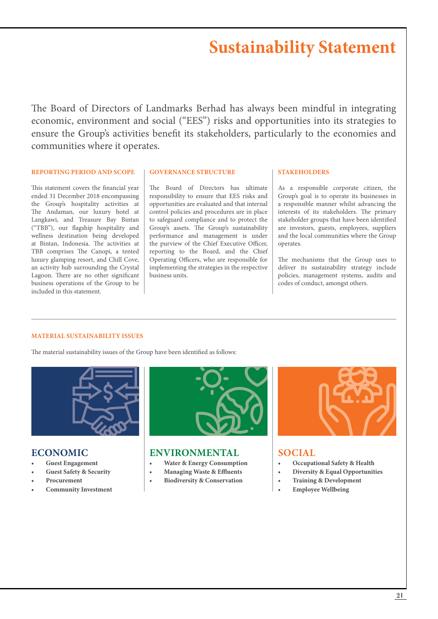The Board of Directors of Landmarks Berhad has always been mindful in integrating economic, environment and social ("EES") risks and opportunities into its strategies to ensure the Group's activities benefit its stakeholders, particularly to the economies and communities where it operates.

## **REPORTING PERIOD AND SCOPE**

This statement covers the financial year ended 31 December 2018 encompassing the Group's hospitality activities at The Andaman, our luxury hotel at Langkawi, and Treasure Bay Bintan ("TBB"), our flagship hospitality and wellness destination being developed at Bintan, Indonesia. The activities at TBB comprises The Canopi, a tented luxury glamping resort, and Chill Cove, an activity hub surrounding the Crystal Lagoon. There are no other significant business operations of the Group to be included in this statement.

#### **GOVERNANCE STRUCTURE**

The Board of Directors has ultimate responsibility to ensure that EES risks and opportunities are evaluated and that internal control policies and procedures are in place to safeguard compliance and to protect the Group's assets. The Group's sustainability performance and management is under the purview of the Chief Executive Officer, reporting to the Board, and the Chief Operating Officers, who are responsible for implementing the strategies in the respective business units.

## **STAKEHOLDERS**

As a responsible corporate citizen, the Group's goal is to operate its businesses in a responsible manner whilst advancing the interests of its stakeholders. The primary stakeholder groups that have been identified are investors, guests, employees, suppliers and the local communities where the Group operates.

The mechanisms that the Group uses to deliver its sustainability strategy include policies, management systems, audits and codes of conduct, amongst others.

## **MATERIAL SUSTAINABILITY ISSUES**

The material sustainability issues of the Group have been identified as follows:



## **ECONOMIC**

- **• Guest Engagement**
- **• Guest Safety & Security**
- **• Procurement**
- **• Community Investment**



## **ENVIRONMENTAL**

- **• Water & Energy Consumption**
- **• Managing Waste & Effluents**
- **• Biodiversity & Conservation**



## **SOCIAL**

- **• Occupational Safety & Health**
- **• Diversity & Equal Opportunities**
- **• Training & Development**
- **• Employee Wellbeing**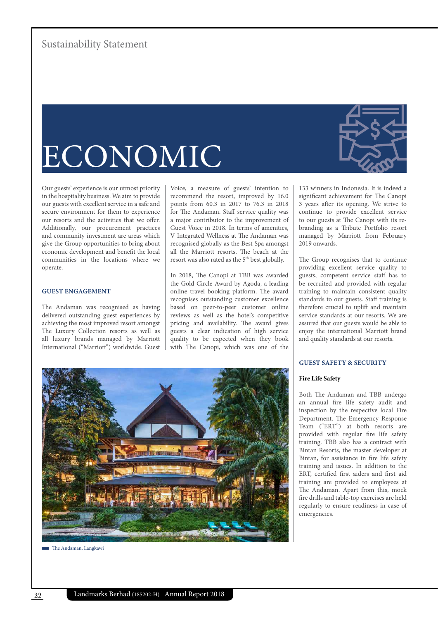## ECONOMIC

Our guests' experience is our utmost priority in the hospitality business. We aim to provide our guests with excellent service in a safe and secure environment for them to experience our resorts and the activities that we offer. Additionally, our procurement practices and community investment are areas which give the Group opportunities to bring about economic development and benefit the local communities in the locations where we operate.

## **GUEST ENGAGEMENT**

The Andaman was recognised as having delivered outstanding guest experiences by achieving the most improved resort amongst The Luxury Collection resorts as well as all luxury brands managed by Marriott International ("Marriott") worldwide. Guest

Voice, a measure of guests' intention to recommend the resort, improved by 16.0 points from 60.3 in 2017 to 76.3 in 2018 for The Andaman. Staff service quality was a major contributor to the improvement of Guest Voice in 2018. In terms of amenities, V Integrated Wellness at The Andaman was recognised globally as the Best Spa amongst all the Marriott resorts. The beach at the resort was also rated as the 5<sup>th</sup> best globally.

In 2018, The Canopi at TBB was awarded the Gold Circle Award by Agoda, a leading online travel booking platform. The award recognises outstanding customer excellence based on peer-to-peer customer online reviews as well as the hotel's competitive pricing and availability. The award gives guests a clear indication of high service quality to be expected when they book with The Canopi, which was one of the

133 winners in Indonesia. It is indeed a significant achievement for The Canopi 3 years after its opening. We strive to continue to provide excellent service to our guests at The Canopi with its rebranding as a Tribute Portfolio resort managed by Marriott from February 2019 onwards.

The Group recognises that to continue providing excellent service quality to guests, competent service staff has to be recruited and provided with regular training to maintain consistent quality standards to our guests. Staff training is therefore crucial to uplift and maintain service standards at our resorts. We are assured that our guests would be able to enjoy the international Marriott brand and quality standards at our resorts.

## **GUEST SAFETY & SECURITY**

## **Fire Life Safety**

Both The Andaman and TBB undergo an annual fire life safety audit and inspection by the respective local Fire Department. The Emergency Response Team ("ERT") at both resorts are provided with regular fire life safety training. TBB also has a contract with Bintan Resorts, the master developer at Bintan, for assistance in fire life safety training and issues. In addition to the ERT, certified first aiders and first aid training are provided to employees at The Andaman. Apart from this, mock fire drills and table-top exercises are held regularly to ensure readiness in case of emergencies.



The Andaman, Langkawi

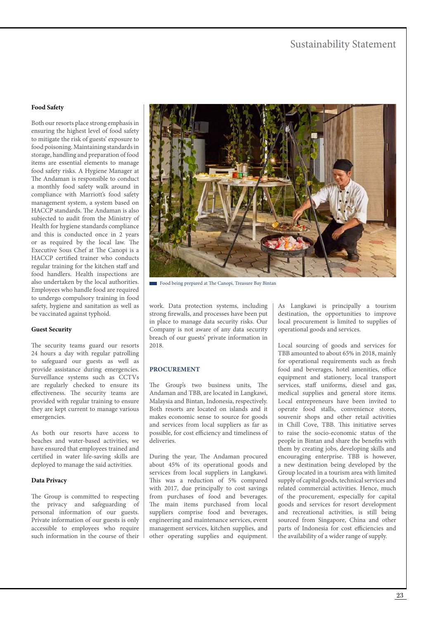## **Food Safety**

Both our resorts place strong emphasis in ensuring the highest level of food safety to mitigate the risk of guests' exposure to food poisoning. Maintaining standards in storage, handling and preparation of food items are essential elements to manage food safety risks. A Hygiene Manager at The Andaman is responsible to conduct a monthly food safety walk around in compliance with Marriott's food safety management system, a system based on HACCP standards. The Andaman is also subjected to audit from the Ministry of Health for hygiene standards compliance and this is conducted once in 2 years or as required by the local law. The Executive Sous Chef at The Canopi is a HACCP certified trainer who conducts regular training for the kitchen staff and food handlers. Health inspections are also undertaken by the local authorities. Employees who handle food are required to undergo compulsory training in food safety, hygiene and sanitation as well as be vaccinated against typhoid.

## **Guest Security**

The security teams guard our resorts 24 hours a day with regular patrolling to safeguard our guests as well as provide assistance during emergencies. Surveillance systems such as CCTVs are regularly checked to ensure its effectiveness. The security teams are provided with regular training to ensure they are kept current to manage various emergencies.

As both our resorts have access to beaches and water-based activities, we have ensured that employees trained and certified in water life-saving skills are deployed to manage the said activities.

#### **Data Privacy**

The Group is committed to respecting the privacy and safeguarding of personal information of our guests. Private information of our guests is only accessible to employees who require such information in the course of their



Food being prepared at The Canopi, Treasure Bay Bintan

work. Data protection systems, including strong firewalls, and processes have been put in place to manage data security risks. Our Company is not aware of any data security breach of our guests' private information in 2018.

## **PROCUREMENT**

The Group's two business units, The Andaman and TBB, are located in Langkawi, Malaysia and Bintan, Indonesia, respectively. Both resorts are located on islands and it makes economic sense to source for goods and services from local suppliers as far as possible, for cost efficiency and timeliness of deliveries.

During the year, The Andaman procured about 45% of its operational goods and services from local suppliers in Langkawi. This was a reduction of 5% compared with 2017, due principally to cost savings from purchases of food and beverages. The main items purchased from local suppliers comprise food and beverages, engineering and maintenance services, event management services, kitchen supplies, and other operating supplies and equipment.

As Langkawi is principally a tourism destination, the opportunities to improve local procurement is limited to supplies of operational goods and services.

Local sourcing of goods and services for TBB amounted to about 65% in 2018, mainly for operational requirements such as fresh food and beverages, hotel amenities, office equipment and stationery, local transport services, staff uniforms, diesel and gas, medical supplies and general store items. Local entrepreneurs have been invited to operate food stalls, convenience stores, souvenir shops and other retail activities in Chill Cove, TBB. This initiative serves to raise the socio-economic status of the people in Bintan and share the benefits with them by creating jobs, developing skills and encouraging enterprise. TBB is however, a new destination being developed by the Group located in a tourism area with limited supply of capital goods, technical services and related commercial activities. Hence, much of the procurement, especially for capital goods and services for resort development and recreational activities, is still being sourced from Singapore, China and other parts of Indonesia for cost efficiencies and the availability of a wider range of supply.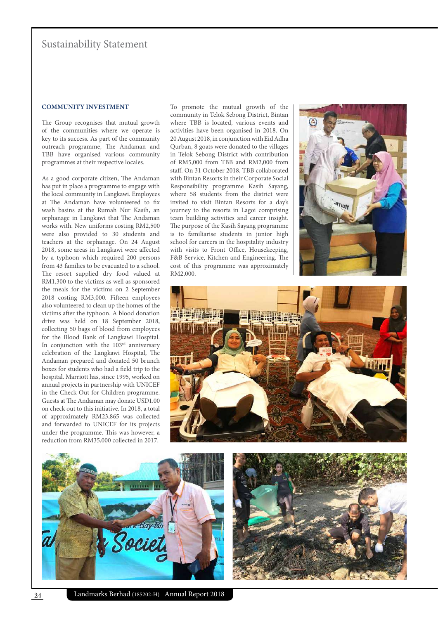## **COMMUNITY INVESTMENT**

The Group recognises that mutual growth of the communities where we operate is key to its success. As part of the community outreach programme, The Andaman and TBB have organised various community programmes at their respective locales.

As a good corporate citizen, The Andaman has put in place a programme to engage with the local community in Langkawi. Employees at The Andaman have volunteered to fix wash basins at the Rumah Nur Kasih, an orphanage in Langkawi that The Andaman works with. New uniforms costing RM2,500 were also provided to 30 students and teachers at the orphanage. On 24 August 2018, some areas in Langkawi were affected by a typhoon which required 200 persons from 43 families to be evacuated to a school. The resort supplied dry food valued at RM1,300 to the victims as well as sponsored the meals for the victims on 2 September 2018 costing RM3,000. Fifteen employees also volunteered to clean up the homes of the victims after the typhoon. A blood donation drive was held on 18 September 2018, collecting 50 bags of blood from employees for the Blood Bank of Langkawi Hospital. In conjunction with the  $103<sup>rd</sup>$  anniversary celebration of the Langkawi Hospital, The Andaman prepared and donated 50 brunch boxes for students who had a field trip to the hospital. Marriott has, since 1995, worked on annual projects in partnership with UNICEF in the Check Out for Children programme. Guests at The Andaman may donate USD1.00 on check out to this initiative. In 2018, a total of approximately RM23,865 was collected and forwarded to UNICEF for its projects under the programme. This was however, a reduction from RM35,000 collected in 2017.

To promote the mutual growth of the community in Telok Sebong District, Bintan where TBB is located, various events and activities have been organised in 2018. On 20 August 2018, in conjunction with Eid Adha Qurban, 8 goats were donated to the villages in Telok Sebong District with contribution of RM5,000 from TBB and RM2,000 from staff. On 31 October 2018, TBB collaborated with Bintan Resorts in their Corporate Social Responsibility programme Kasih Sayang, where 58 students from the district were invited to visit Bintan Resorts for a day's journey to the resorts in Lagoi comprising team building activities and career insight. The purpose of the Kasih Sayang programme is to familiarise students in junior high school for careers in the hospitality industry with visits to Front Office, Housekeeping, F&B Service, Kitchen and Engineering. The cost of this programme was approximately RM2,000.







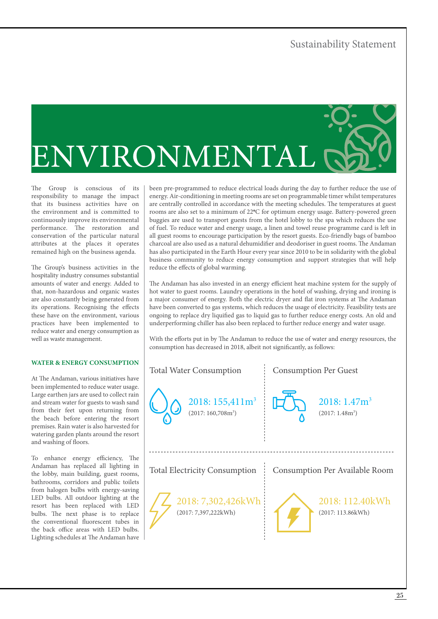

The Group is conscious of its responsibility to manage the impact that its business activities have on the environment and is committed to continuously improve its environmental performance. The restoration and conservation of the particular natural attributes at the places it operates remained high on the business agenda.

The Group's business activities in the hospitality industry consumes substantial amounts of water and energy. Added to that, non-hazardous and organic wastes are also constantly being generated from its operations. Recognising the effects these have on the environment, various practices have been implemented to reduce water and energy consumption as well as waste management.

## **WATER & ENERGY CONSUMPTION**

At The Andaman, various initiatives have been implemented to reduce water usage. Large earthen jars are used to collect rain and stream water for guests to wash sand from their feet upon returning from the beach before entering the resort premises. Rain water is also harvested for watering garden plants around the resort and washing of floors.

To enhance energy efficiency, The Andaman has replaced all lighting in the lobby, main building, guest rooms, bathrooms, corridors and public toilets from halogen bulbs with energy-saving LED bulbs. All outdoor lighting at the resort has been replaced with LED bulbs. The next phase is to replace the conventional fluorescent tubes in the back office areas with LED bulbs. Lighting schedules at The Andaman have been pre-programmed to reduce electrical loads during the day to further reduce the use of energy. Air-conditioning in meeting rooms are set on programmable timer whilst temperatures are centrally controlled in accordance with the meeting schedules. The temperatures at guest rooms are also set to a minimum of 22**º**C for optimum energy usage. Battery-powered green buggies are used to transport guests from the hotel lobby to the spa which reduces the use of fuel. To reduce water and energy usage, a linen and towel reuse programme card is left in all guest rooms to encourage participation by the resort guests. Eco-friendly bags of bamboo charcoal are also used as a natural dehumidifier and deodoriser in guest rooms. The Andaman has also participated in the Earth Hour every year since 2010 to be in solidarity with the global business community to reduce energy consumption and support strategies that will help reduce the effects of global warming.

The Andaman has also invested in an energy efficient heat machine system for the supply of hot water to guest rooms. Laundry operations in the hotel of washing, drying and ironing is a major consumer of energy. Both the electric dryer and flat iron systems at The Andaman have been converted to gas systems, which reduces the usage of electricity. Feasibility tests are ongoing to replace dry liquified gas to liquid gas to further reduce energy costs. An old and underperforming chiller has also been replaced to further reduce energy and water usage.

With the efforts put in by The Andaman to reduce the use of water and energy resources, the consumption has decreased in 2018, albeit not significantly, as follows:

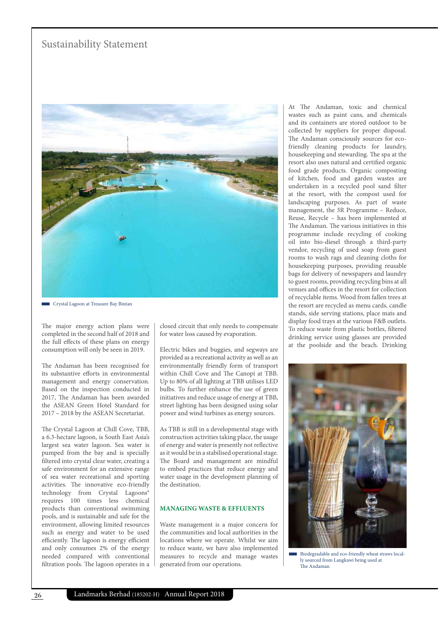

Crystal Lagoon at Treasure Bay Bintan

The major energy action plans were completed in the second half of 2018 and the full effects of these plans on energy consumption will only be seen in 2019.

The Andaman has been recognised for its substantive efforts in environmental management and energy conservation. Based on the inspection conducted in 2017, The Andaman has been awarded the ASEAN Green Hotel Standard for 2017 – 2018 by the ASEAN Secretariat.

The Crystal Lagoon at Chill Cove, TBB, a 6.3-hectare lagoon, is South East Asia's largest sea water lagoon. Sea water is pumped from the bay and is specially filtered into crystal clear water, creating a safe environment for an extensive range of sea water recreational and sporting activities. The innovative eco-friendly technology from Crystal Lagoons® requires 100 times less chemical products than conventional swimming pools, and is sustainable and safe for the environment, allowing limited resources such as energy and water to be used efficiently. The lagoon is energy efficient and only consumes 2% of the energy needed compared with conventional filtration pools. The lagoon operates in a

closed circuit that only needs to compensate for water loss caused by evaporation.

Electric bikes and buggies, and segways are provided as a recreational activity as well as an environmentally friendly form of transport within Chill Cove and The Canopi at TBB. Up to 80% of all lighting at TBB utilises LED bulbs. To further enhance the use of green initiatives and reduce usage of energy at TBB, street lighting has been designed using solar power and wind turbines as energy sources.

As TBB is still in a developmental stage with construction activities taking place, the usage of energy and water is presently not reflective as it would be in a stabilised operational stage. The Board and management are mindful to embed practices that reduce energy and water usage in the development planning of the destination.

## **MANAGING WASTE & EFFLUENTS**

Waste management is a major concern for the communities and local authorities in the locations where we operate. Whilst we aim to reduce waste, we have also implemented measures to recycle and manage wastes generated from our operations.

At The Andaman, toxic and chemical wastes such as paint cans, and chemicals and its containers are stored outdoor to be collected by suppliers for proper disposal. The Andaman consciously sources for ecofriendly cleaning products for laundry, housekeeping and stewarding. The spa at the resort also uses natural and certified organic food grade products. Organic composting of kitchen, food and garden wastes are undertaken in a recycled pool sand filter at the resort, with the compost used for landscaping purposes. As part of waste management, the 3R Programme – Reduce, Reuse, Recycle – has been implemented at The Andaman. The various initiatives in this programme include recycling of cooking oil into bio-diesel through a third-party vendor, recycling of used soap from guest rooms to wash rags and cleaning cloths for housekeeping purposes, providing reusable bags for delivery of newspapers and laundry to guest rooms, providing recycling bins at all venues and offices in the resort for collection of recyclable items. Wood from fallen trees at the resort are recycled as menu cards, candle stands, side serving stations, place mats and display food trays at the various F&B outlets. To reduce waste from plastic bottles, filtered drinking service using glasses are provided at the poolside and the beach. Drinking



Biodegradable and eco-friendly wheat straws locally sourced from Langkawi being used at The Andaman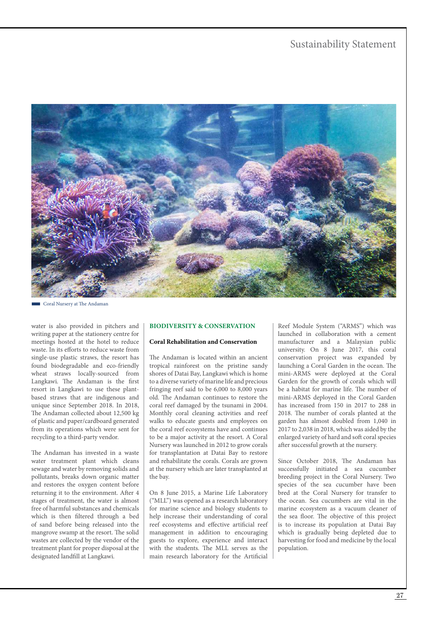

Coral Nursery at The Andaman

water is also provided in pitchers and writing paper at the stationery centre for meetings hosted at the hotel to reduce waste. In its efforts to reduce waste from single-use plastic straws, the resort has found biodegradable and eco-friendly wheat straws locally-sourced from Langkawi. The Andaman is the first resort in Langkawi to use these plantbased straws that are indigenous and unique since September 2018. In 2018, The Andaman collected about 12,500 kg of plastic and paper/cardboard generated from its operations which were sent for recycling to a third-party vendor.

The Andaman has invested in a waste water treatment plant which cleans sewage and water by removing solids and pollutants, breaks down organic matter and restores the oxygen content before returning it to the environment. After 4 stages of treatment, the water is almost free of harmful substances and chemicals which is then filtered through a bed of sand before being released into the mangrove swamp at the resort. The solid wastes are collected by the vendor of the treatment plant for proper disposal at the designated landfill at Langkawi.

## **BIODIVERSITY & CONSERVATION**

## **Coral Rehabilitation and Conservation**

The Andaman is located within an ancient tropical rainforest on the pristine sandy shores of Datai Bay, Langkawi which is home to a diverse variety of marine life and precious fringing reef said to be 6,000 to 8,000 years old. The Andaman continues to restore the coral reef damaged by the tsunami in 2004. Monthly coral cleaning activities and reef walks to educate guests and employees on the coral reef ecosystems have and continues to be a major activity at the resort. A Coral Nursery was launched in 2012 to grow corals for transplantation at Datai Bay to restore and rehabilitate the corals. Corals are grown at the nursery which are later transplanted at the bay.

On 8 June 2015, a Marine Life Laboratory ("MLL") was opened as a research laboratory for marine science and biology students to help increase their understanding of coral reef ecosystems and effective artificial reef management in addition to encouraging guests to explore, experience and interact with the students. The MLL serves as the main research laboratory for the Artificial

Reef Module System ("ARMS") which was launched in collaboration with a cement manufacturer and a Malaysian public university. On 8 June 2017, this coral conservation project was expanded by launching a Coral Garden in the ocean. The mini-ARMS were deployed at the Coral Garden for the growth of corals which will be a habitat for marine life. The number of mini-ARMS deployed in the Coral Garden has increased from 150 in 2017 to 288 in 2018. The number of corals planted at the garden has almost doubled from 1,040 in 2017 to 2,038 in 2018, which was aided by the enlarged variety of hard and soft coral species after successful growth at the nursery.

Since October 2018, The Andaman has successfully initiated a sea cucumber breeding project in the Coral Nursery. Two species of the sea cucumber have been bred at the Coral Nursery for transfer to the ocean. Sea cucumbers are vital in the marine ecosystem as a vacuum cleaner of the sea floor. The objective of this project is to increase its population at Datai Bay which is gradually being depleted due to harvesting for food and medicine by the local population.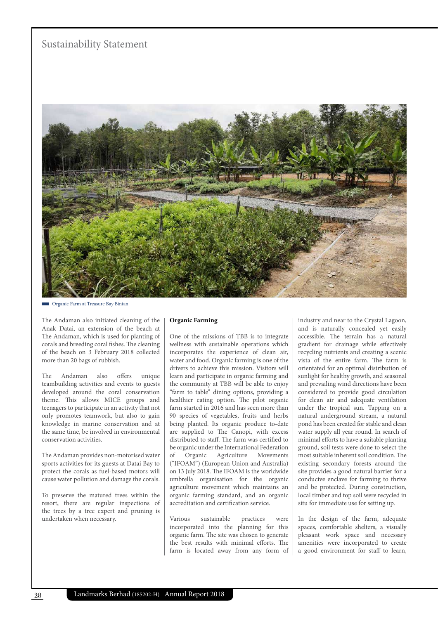

Organic Farm at Treasure Bay Bintan

The Andaman also initiated cleaning of the Anak Datai, an extension of the beach at The Andaman, which is used for planting of corals and breeding coral fishes. The cleaning of the beach on 3 February 2018 collected more than 20 bags of rubbish.

The Andaman also offers unique teambuilding activities and events to guests developed around the coral conservation theme. This allows MICE groups and teenagers to participate in an activity that not only promotes teamwork, but also to gain knowledge in marine conservation and at the same time, be involved in environmental conservation activities.

The Andaman provides non-motorised water sports activities for its guests at Datai Bay to protect the corals as fuel-based motors will cause water pollution and damage the corals.

To preserve the matured trees within the resort, there are regular inspections of the trees by a tree expert and pruning is undertaken when necessary.

#### **Organic Farming**

One of the missions of TBB is to integrate wellness with sustainable operations which incorporates the experience of clean air, water and food. Organic farming is one of the drivers to achieve this mission. Visitors will learn and participate in organic farming and the community at TBB will be able to enjoy "farm to table" dining options, providing a healthier eating option. The pilot organic farm started in 2016 and has seen more than 90 species of vegetables, fruits and herbs being planted. Its organic produce to-date are supplied to The Canopi, with excess distributed to staff. The farm was certified to be organic under the International Federation of Organic Agriculture Movements ("IFOAM") (European Union and Australia) on 13 July 2018. The IFOAM is the worldwide umbrella organisation for the organic agriculture movement which maintains an organic farming standard, and an organic accreditation and certification service.

Various sustainable practices were incorporated into the planning for this organic farm. The site was chosen to generate the best results with minimal efforts. The farm is located away from any form of industry and near to the Crystal Lagoon, and is naturally concealed yet easily accessible. The terrain has a natural gradient for drainage while effectively recycling nutrients and creating a scenic vista of the entire farm. The farm is orientated for an optimal distribution of sunlight for healthy growth, and seasonal and prevailing wind directions have been considered to provide good circulation for clean air and adequate ventilation under the tropical sun. Tapping on a natural underground stream, a natural pond has been created for stable and clean water supply all year round. In search of minimal efforts to have a suitable planting ground, soil tests were done to select the most suitable inherent soil condition. The existing secondary forests around the site provides a good natural barrier for a conducive enclave for farming to thrive and be protected. During construction, local timber and top soil were recycled in situ for immediate use for setting up.

In the design of the farm, adequate spaces, comfortable shelters, a visually pleasant work space and necessary amenities were incorporated to create a good environment for staff to learn,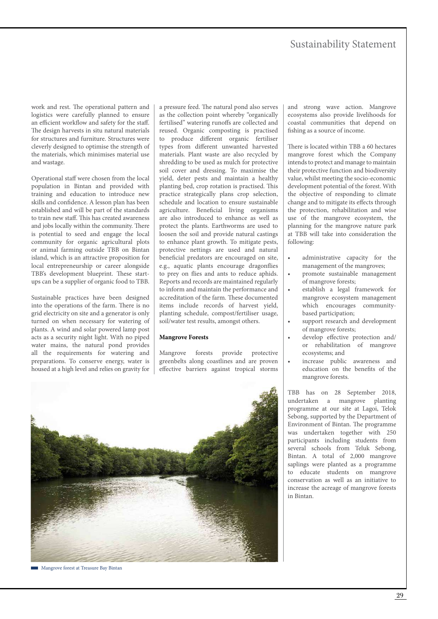work and rest. The operational pattern and logistics were carefully planned to ensure an efficient workflow and safety for the staff. The design harvests in situ natural materials for structures and furniture. Structures were cleverly designed to optimise the strength of the materials, which minimises material use and wastage.

Operational staff were chosen from the local population in Bintan and provided with training and education to introduce new skills and confidence. A lesson plan has been established and will be part of the standards to train new staff. This has created awareness and jobs locally within the community. There is potential to seed and engage the local community for organic agricultural plots or animal farming outside TBB on Bintan island, which is an attractive proposition for local entrepreneurship or career alongside TBB's development blueprint. These startups can be a supplier of organic food to TBB.

Sustainable practices have been designed into the operations of the farm. There is no grid electricity on site and a generator is only turned on when necessary for watering of plants. A wind and solar powered lamp post acts as a security night light. With no piped water mains, the natural pond provides all the requirements for watering and preparations. To conserve energy, water is housed at a high level and relies on gravity for a pressure feed. The natural pond also serves as the collection point whereby "organically fertilised" watering runoffs are collected and reused. Organic composting is practised to produce different organic fertiliser types from different unwanted harvested materials. Plant waste are also recycled by shredding to be used as mulch for protective soil cover and dressing. To maximise the yield, deter pests and maintain a healthy planting bed, crop rotation is practised. This practice strategically plans crop selection, schedule and location to ensure sustainable agriculture. Beneficial living organisms are also introduced to enhance as well as protect the plants. Earthworms are used to loosen the soil and provide natural castings to enhance plant growth. To mitigate pests, protective nettings are used and natural beneficial predators are encouraged on site, e.g., aquatic plants encourage dragonflies to prey on flies and ants to reduce aphids. Reports and records are maintained regularly to inform and maintain the performance and accreditation of the farm. These documented items include records of harvest yield, planting schedule, compost/fertiliser usage, soil/water test results, amongst others.

#### **Mangrove Forests**

Mangrove forests provide protective greenbelts along coastlines and are proven effective barriers against tropical storms and strong wave action. Mangrove ecosystems also provide livelihoods for coastal communities that depend on fishing as a source of income.

There is located within TBB a 60 hectares mangrove forest which the Company intends to protect and manage to maintain their protective function and biodiversity value, whilst meeting the socio-economic development potential of the forest. With the objective of responding to climate change and to mitigate its effects through the protection, rehabilitation and wise use of the mangrove ecosystem, the planning for the mangrove nature park at TBB will take into consideration the following:

- administrative capacity for the management of the mangroves;
- promote sustainable management of mangrove forests;
- establish a legal framework for mangrove ecosystem management which encourages communitybased participation;
- support research and development of mangrove forests;
- develop effective protection and/ or rehabilitation of mangrove ecosystems; and
- increase public awareness and education on the benefits of the mangrove forests.

TBB has on 28 September 2018, undertaken a mangrove planting programme at our site at Lagoi, Telok Sebong, supported by the Department of Environment of Bintan. The programme was undertaken together with 250 participants including students from several schools from Teluk Sebong, Bintan. A total of 2,000 mangrove saplings were planted as a programme to educate students on mangrove conservation as well as an initiative to increase the acreage of mangrove forests in Bintan.



**Mangrove forest at Treasure Bay Bintan**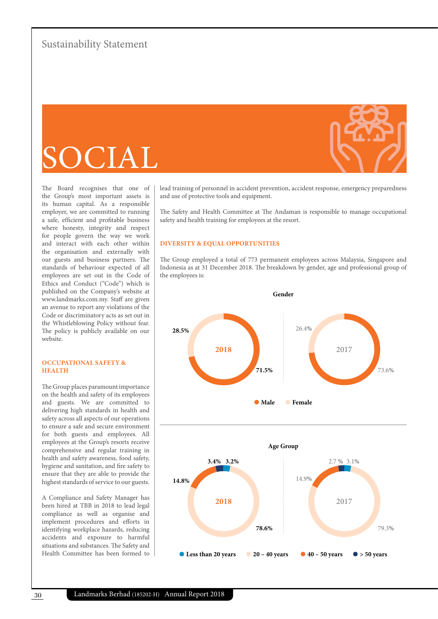# SOCIAL

The Board recognises that one of the Group's most important assets is its human capital. As a responsible employer, we are committed to running a safe, efficient and profitable business where honesty, integrity and respect for people govern the way we work and interact with each other within the organisation and externally with our guests and business partners. The standards of behaviour expected of all employees are set out in the Code of Ethics and Conduct ("Code") which is published on the Company's website at www.landmarks.com.my. Staff are given an avenue to report any violations of the Code or discriminatory acts as set out in the Whistleblowing Policy without fear. The policy is publicly available on our website.

## **OCCUPATIONAL SAFETY & HEALTH**

The Group places paramount importance on the health and safety of its employees and guests. We are committed to delivering high standards in health and safety across all aspects of our operations to ensure a safe and secure environment for both guests and employees. All employees at the Group's resorts receive comprehensive and regular training in health and safety awareness, food safety, hygiene and sanitation, and fire safety to ensure that they are able to provide the highest standards of service to our guests.

A Compliance and Safety Manager has been hired at TBB in 2018 to lead legal compliance as well as organise and implement procedures and efforts in identifying workplace hazards, reducing accidents and exposure to harmful situations and substances. The Safety and Health Committee has been formed to

lead training of personnel in accident prevention, accident response, emergency preparedness and use of protective tools and equipment.

The Safety and Health Committee at The Andaman is responsible to manage occupational safety and health training for employees at the resort.

#### **DIVERSITY & EQUAL OPPORTUNITIES**

The Group employed a total of 773 permanent employees across Malaysia, Singapore and Indonesia as at 31 December 2018. The breakdown by gender, age and professional group of the employees is: